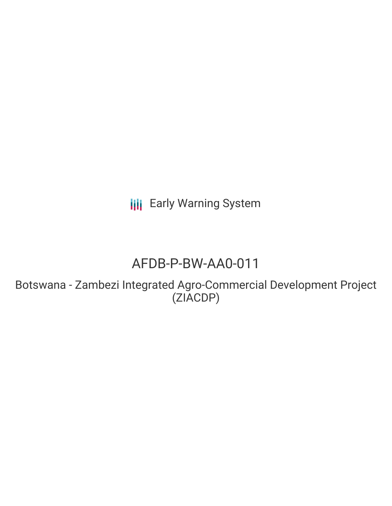**III** Early Warning System

# AFDB-P-BW-AA0-011

Botswana - Zambezi Integrated Agro-Commercial Development Project (ZIACDP)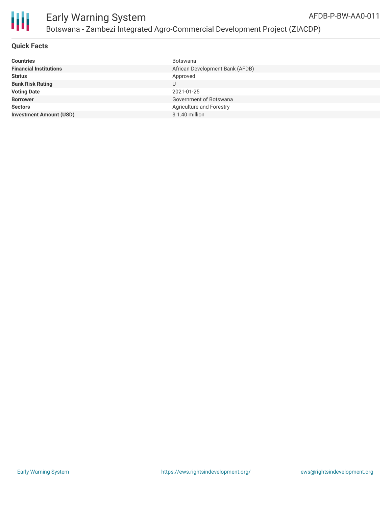

#### **Quick Facts**

| <b>Countries</b>               | <b>Botswana</b>                 |
|--------------------------------|---------------------------------|
| <b>Financial Institutions</b>  | African Development Bank (AFDB) |
| <b>Status</b>                  | Approved                        |
| <b>Bank Risk Rating</b>        |                                 |
| <b>Voting Date</b>             | 2021-01-25                      |
| <b>Borrower</b>                | Government of Botswana          |
| <b>Sectors</b>                 | Agriculture and Forestry        |
| <b>Investment Amount (USD)</b> | $$1.40$ million                 |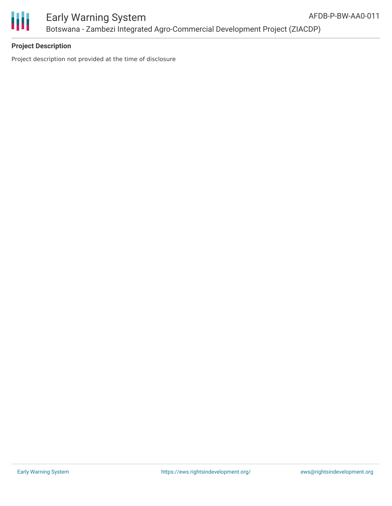

# **Project Description**

Project description not provided at the time of disclosure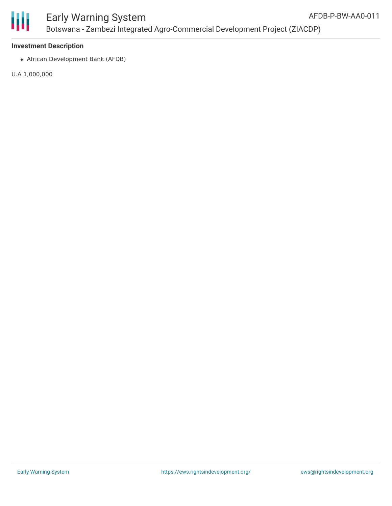

## **Investment Description**

African Development Bank (AFDB)

U.A 1,000,000